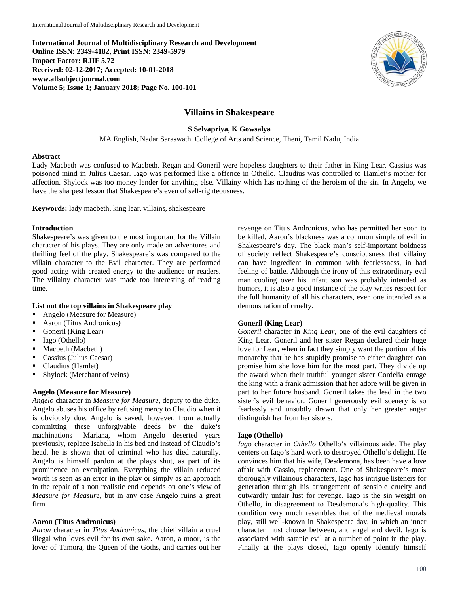**International Journal of Multidisciplinary Research and Development Online ISSN: 2349-4182, Print ISSN: 2349-5979 Impact Factor: RJIF 5.72 Received: 02-12-2017; Accepted: 10-01-2018 www.allsubjectjournal.com Volume 5; Issue 1; January 2018; Page No. 100-101**



# **Villains in Shakespeare**

**S Selvapriya, K Gowsalya**

MA English, Nadar Saraswathi College of Arts and Science, Theni, Tamil Nadu, India

#### **Abstract**

Lady Macbeth was confused to Macbeth. Regan and Goneril were hopeless daughters to their father in King Lear. Cassius was poisoned mind in Julius Caesar. Iago was performed like a offence in Othello. Claudius was controlled to Hamlet's mother for affection. Shylock was too money lender for anything else. Villainy which has nothing of the heroism of the sin. In Angelo, we have the sharpest lesson that Shakespeare's even of self-righteousness.

**Keywords:** lady macbeth, king lear, villains, shakespeare

#### **Introduction**

Shakespeare's was given to the most important for the Villain character of his plays. They are only made an adventures and thrilling feel of the play. Shakespeare's was compared to the villain character to the Evil character. They are performed good acting with created energy to the audience or readers. The villainy character was made too interesting of reading time.

## **List out the top villains in Shakespeare play**

- Angelo (Measure for Measure)
- Aaron (Titus Andronicus)
- Goneril (King Lear)
- Iago (Othello)
- Macbeth (Macbeth)
- Cassius (Julius Caesar)
- Claudius (Hamlet)
- Shylock (Merchant of veins)

## **Angelo (Measure for Measure)**

*Angelo* character in *Measure for Measure*, deputy to the duke. Angelo abuses his office by refusing mercy to Claudio when it is obviously due. Angelo is saved, however, from actually committing these unforgivable deeds by the duke's machinations –Mariana, whom Angelo deserted years previously, replace Isabella in his bed and instead of Claudio's head, he is shown that of criminal who has died naturally. Angelo is himself pardon at the plays shut, as part of its prominence on exculpation. Everything the villain reduced worth is seen as an error in the play or simply as an approach in the repair of a non realistic end depends on one's view of *Measure for Measure,* but in any case Angelo ruins a great firm.

## **Aaron (Titus Andronicus)**

*Aaron* character in *Titus Andronicus*, the chief villain a cruel illegal who loves evil for its own sake. Aaron, a moor, is the lover of Tamora, the Queen of the Goths, and carries out her revenge on Titus Andronicus, who has permitted her soon to be killed. Aaron's blackness was a common simple of evil in Shakespeare's day. The black man's self-important boldness of society reflect Shakespeare's consciousness that villainy can have ingredient in common with fearlessness, in bad feeling of battle. Although the irony of this extraordinary evil man cooling over his infant son was probably intended as humors, it is also a good instance of the play writes respect for the full humanity of all his characters, even one intended as a demonstration of cruelty.

## **Goneril (King Lear)**

*Goneril* character in *King Lear*, one of the evil daughters of King Lear. Goneril and her sister Regan declared their huge love for Lear, when in fact they simply want the portion of his monarchy that he has stupidly promise to either daughter can promise him she love him for the most part. They divide up the award when their truthful younger sister Cordelia enrage the king with a frank admission that her adore will be given in part to her future husband. Goneril takes the lead in the two sister's evil behavior. Goneril generously evil scenery is so fearlessly and unsubtly drawn that only her greater anger distinguish her from her sisters.

## **Iago (Othello)**

*Iago* character in *Othello* Othello's villainous aide. The play centers on Iago's hard work to destroyed Othello's delight. He convinces him that his wife, Desdemona, has been have a love affair with Cassio, replacement. One of Shakespeare's most thoroughly villainous characters, Iago has intrigue listeners for generation through his arrangement of sensible cruelty and outwardly unfair lust for revenge. Iago is the sin weight on Othello, in disagreement to Desdemona's high-quality. This condition very much resembles that of the medieval morals play, still well-known in Shakespeare day, in which an inner character must choose between, and angel and devil. Iago is associated with satanic evil at a number of point in the play. Finally at the plays closed, Iago openly identify himself